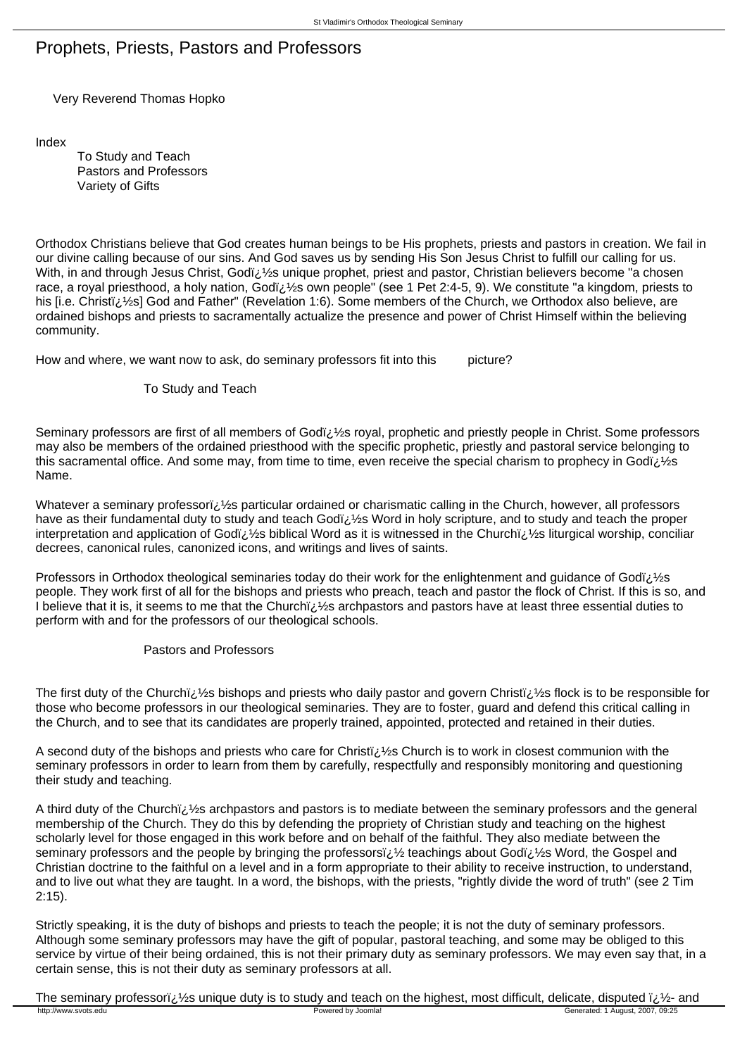## Prophets, Priests, Pastors and Professors

Very Reverend Thomas Hopko

Index

 To Study and Teach Pastors and Professors Variety of Gifts

Orthodox Christians believe that God creates human beings to be His prophets, priests and pastors in creation. We fail in our divine calling because of our sins. And God saves us by sending His Son Jesus Christ to fulfill our calling for us. With, in and through Jesus Christ, Godiz 1/2s unique prophet, priest and pastor, Christian believers become "a chosen race, a royal priesthood, a holy nation, Godï 1/2s own people" (see 1 Pet 2:4-5, 9). We constitute "a kingdom, priests to his [i.e. Christi<sub>i</sub>, 1/2s] God and Father" (Revelation 1:6). Some members of the Church, we Orthodox also believe, are ordained bishops and priests to sacramentally actualize the presence and power of Christ Himself within the believing community.

How and where, we want now to ask, do seminary professors fit into this picture?

## To Study and Teach

Seminary professors are first of all members of Godï; 1/2s royal, prophetic and priestly people in Christ. Some professors may also be members of the ordained priesthood with the specific prophetic, priestly and pastoral service belonging to this sacramental office. And some may, from time to time, even receive the special charism to prophecy in Godï;  $\frac{1}{2}$ s Name.

Whatever a seminary professori:  $\frac{1}{2}$ s particular ordained or charismatic calling in the Church, however, all professors have as their fundamental duty to study and teach Godi, 1/2s Word in holy scripture, and to study and teach the proper interpretation and application of Godi is biblical Word as it is witnessed in the Churchi is liturgical worship, conciliar decrees, canonical rules, canonized icons, and writings and lives of saints.

Professors in Orthodox theological seminaries today do their work for the enlightenment and guidance of Godi;  $\frac{1}{2}$ s people. They work first of all for the bishops and priests who preach, teach and pastor the flock of Christ. If this is so, and I believe that it is, it seems to me that the Churchi; 1/2s archpastors and pastors have at least three essential duties to perform with and for the professors of our theological schools.

## Pastors and Professors

The first duty of the Churchi;  $\frac{1}{2}$ s bishops and priests who daily pastor and govern Christi;  $\frac{1}{2}$ s flock is to be responsible for those who become professors in our theological seminaries. They are to foster, guard and defend this critical calling in the Church, and to see that its candidates are properly trained, appointed, protected and retained in their duties.

A second duty of the bishops and priests who care for Christi  $\chi/2$ s Church is to work in closest communion with the seminary professors in order to learn from them by carefully, respectfully and responsibly monitoring and questioning their study and teaching.

A third duty of the Churchiz 1/2s archpastors and pastors is to mediate between the seminary professors and the general membership of the Church. They do this by defending the propriety of Christian study and teaching on the highest scholarly level for those engaged in this work before and on behalf of the faithful. They also mediate between the seminary professors and the people by bringing the professors it  $\frac{1}{2}$  teachings about Godit  $\frac{1}{2}$ s Word, the Gospel and Christian doctrine to the faithful on a level and in a form appropriate to their ability to receive instruction, to understand, and to live out what they are taught. In a word, the bishops, with the priests, "rightly divide the word of truth" (see 2 Tim 2:15).

Strictly speaking, it is the duty of bishops and priests to teach the people; it is not the duty of seminary professors. Although some seminary professors may have the gift of popular, pastoral teaching, and some may be obliged to this service by virtue of their being ordained, this is not their primary duty as seminary professors. We may even say that, in a certain sense, this is not their duty as seminary professors at all.

The seminary professori $\frac{1}{2}$  is unique duty is to study and teach on the highest, most difficult, delicate, disputed  $\frac{1}{2}$ - and http://www.svots.edu Powered by Joomla! Generated: 1 August, 2007, 09:25